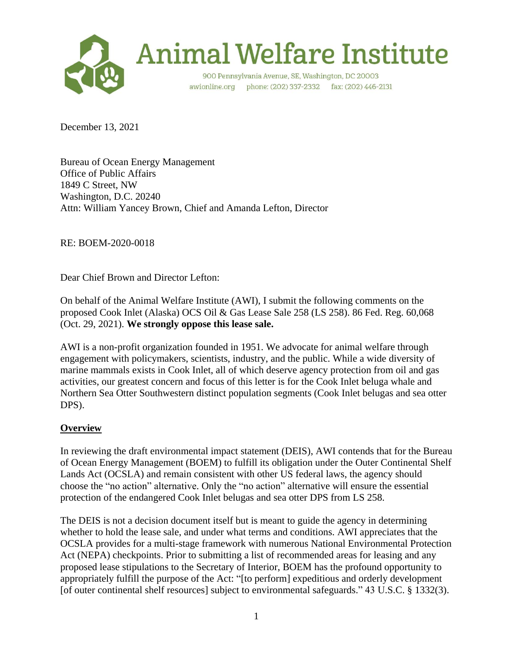

# **Animal Welfare Institute**

900 Pennsylvania Avenue, SE, Washington, DC 20003 awionline.org phone: (202) 337-2332 fax: (202) 446-2131

December 13, 2021

Bureau of Ocean Energy Management Office of Public Affairs 1849 C Street, NW Washington, D.C. 20240 Attn: William Yancey Brown, Chief and Amanda Lefton, Director

RE: BOEM-2020-0018

Dear Chief Brown and Director Lefton:

On behalf of the Animal Welfare Institute (AWI), I submit the following comments on the proposed Cook Inlet (Alaska) OCS Oil & Gas Lease Sale 258 (LS 258). 86 Fed. Reg. 60,068 (Oct. 29, 2021). **We strongly oppose this lease sale.**

AWI is a non-profit organization founded in 1951. We advocate for animal welfare through engagement with policymakers, scientists, industry, and the public. While a wide diversity of marine mammals exists in Cook Inlet, all of which deserve agency protection from oil and gas activities, our greatest concern and focus of this letter is for the Cook Inlet beluga whale and Northern Sea Otter Southwestern distinct population segments (Cook Inlet belugas and sea otter DPS).

# **Overview**

In reviewing the draft environmental impact statement (DEIS), AWI contends that for the Bureau of Ocean Energy Management (BOEM) to fulfill its obligation under the Outer Continental Shelf Lands Act (OCSLA) and remain consistent with other US federal laws, the agency should choose the "no action" alternative. Only the "no action" alternative will ensure the essential protection of the endangered Cook Inlet belugas and sea otter DPS from LS 258.

The DEIS is not a decision document itself but is meant to guide the agency in determining whether to hold the lease sale, and under what terms and conditions. AWI appreciates that the OCSLA provides for a multi-stage framework with numerous National Environmental Protection Act (NEPA) checkpoints. Prior to submitting a list of recommended areas for leasing and any proposed lease stipulations to the Secretary of Interior, BOEM has the profound opportunity to appropriately fulfill the purpose of the Act: "[to perform] expeditious and orderly development [of outer continental shelf resources] subject to environmental safeguards." 43 U.S.C. § 1332(3).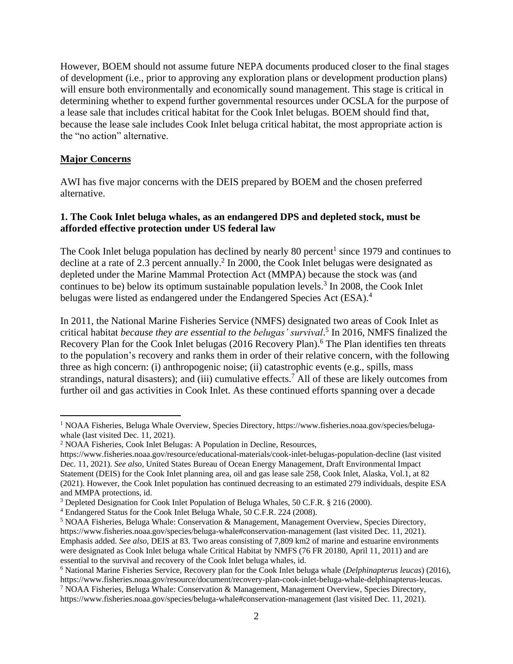However, BOEM should not assume future NEPA documents produced closer to the final stages of development (i.e., prior to approving any exploration plans or development production plans) will ensure both environmentally and economically sound management. This stage is critical in determining whether to expend further governmental resources under OCSLA for the purpose of a lease sale that includes critical habitat for the Cook Inlet belugas. BOEM should find that, because the lease sale includes Cook Inlet beluga critical habitat, the most appropriate action is the "no action" alternative.

#### **Major Concerns**

 $\overline{a}$ 

AWI has five major concerns with the DEIS prepared by BOEM and the chosen preferred alternative.

## **1. The Cook Inlet beluga whales, as an endangered DPS and depleted stock, must be afforded effective protection under US federal law**

The Cook Inlet beluga population has declined by nearly 80 percent<sup>1</sup> since 1979 and continues to decline at a rate of 2.3 percent annually.<sup>2</sup> In 2000, the Cook Inlet belugas were designated as depleted under the Marine Mammal Protection Act (MMPA) because the stock was (and continues to be) below its optimum sustainable population levels.<sup>3</sup> In 2008, the Cook Inlet belugas were listed as endangered under the Endangered Species Act (ESA).<sup>4</sup>

In 2011, the National Marine Fisheries Service (NMFS) designated two areas of Cook Inlet as critical habitat *because they are essential to the belugas' survival*. 5 In 2016, NMFS finalized the Recovery Plan for the Cook Inlet belugas (2016 Recovery Plan). <sup>6</sup> The Plan identifies ten threats to the population's recovery and ranks them in order of their relative concern, with the following three as high concern: (i) anthropogenic noise; (ii) catastrophic events (e.g., spills, mass strandings, natural disasters); and (iii) cumulative effects.<sup>7</sup> All of these are likely outcomes from further oil and gas activities in Cook Inlet. As these continued efforts spanning over a decade

<sup>1</sup> NOAA Fisheries, Beluga Whale Overview, Species Directory, [https://www.fisheries.noaa.gov/species/beluga](https://www.fisheries.noaa.gov/species/beluga-whale)[whale](https://www.fisheries.noaa.gov/species/beluga-whale) (last visited Dec. 11, 2021).

<sup>2</sup> NOAA Fisheries, Cook Inlet Belugas: A Population in Decline, Resources,

<https://www.fisheries.noaa.gov/resource/educational-materials/cook-inlet-belugas-population-decline> (last visited Dec. 11, 2021). *See also*, United States Bureau of Ocean Energy Management, Draft Environmental Impact Statement (DEIS) for the Cook Inlet planning area, oil and gas lease sale 258, Cook Inlet, Alaska, Vol.1, at 82 (2021). However, the Cook Inlet population has continued decreasing to an estimated 279 individuals, despite ESA and MMPA protections, id.

<sup>3</sup> Depleted Designation for Cook Inlet Population of Beluga Whales, 50 C.F.R. § 216 (2000).

<sup>4</sup> Endangered Status for the Cook Inlet Beluga Whale, 50 C.F.R. 224 (2008).

<sup>5</sup> NOAA Fisheries, Beluga Whale: Conservation & Management, Management Overview, Species Directory, <https://www.fisheries.noaa.gov/species/beluga-whale#conservation-management> (last visited Dec. 11, 2021). Emphasis added. *See also*, DEIS at 83. Two areas consisting of 7,809 km2 of marine and estuarine environments were designated as Cook Inlet beluga whale Critical Habitat by NMFS (76 FR 20180, April 11, 2011) and are essential to the survival and recovery of the Cook Inlet beluga whales, id.

<sup>6</sup> National Marine Fisheries Service, Recovery plan for the Cook Inlet beluga whale (*Delphinapterus leucas*) (2016), [https://www.fisheries.noaa.gov/resource/document/recovery-plan-cook-inlet-beluga-whale-delphinapterus-leucas.](https://www.fisheries.noaa.gov/resource/document/recovery-plan-cook-inlet-beluga-whale-delphinapterus-leucas)

<sup>7</sup> NOAA Fisheries, Beluga Whale: Conservation & Management, Management Overview, Species Directory, <https://www.fisheries.noaa.gov/species/beluga-whale#conservation-management> (last visited Dec. 11, 2021).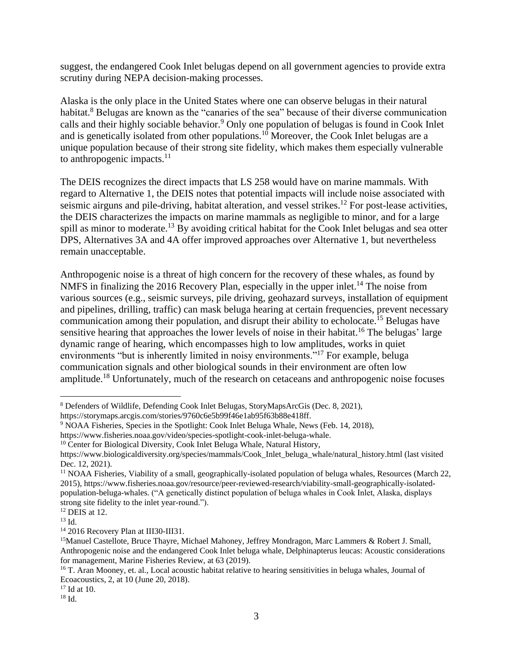suggest, the endangered Cook Inlet belugas depend on all government agencies to provide extra scrutiny during NEPA decision-making processes.

Alaska is the only place in the United States where one can observe belugas in their natural habitat.<sup>8</sup> Belugas are known as the "canaries of the sea" because of their diverse communication calls and their highly sociable behavior.<sup>9</sup> Only one population of belugas is found in Cook Inlet and is genetically isolated from other populations.<sup>10</sup> Moreover, the Cook Inlet belugas are a unique population because of their strong site fidelity, which makes them especially vulnerable to anthropogenic impacts. $11$ 

The DEIS recognizes the direct impacts that LS 258 would have on marine mammals. With regard to Alternative 1, the DEIS notes that potential impacts will include noise associated with seismic airguns and pile-driving, habitat alteration, and vessel strikes.<sup>12</sup> For post-lease activities, the DEIS characterizes the impacts on marine mammals as negligible to minor, and for a large spill as minor to moderate.<sup>13</sup> By avoiding critical habitat for the Cook Inlet belugas and sea otter DPS, Alternatives 3A and 4A offer improved approaches over Alternative 1, but nevertheless remain unacceptable.

Anthropogenic noise is a threat of high concern for the recovery of these whales, as found by NMFS in finalizing the 2016 Recovery Plan, especially in the upper inlet.<sup>14</sup> The noise from various sources (e.g., seismic surveys, pile driving, geohazard surveys, installation of equipment and pipelines, drilling, traffic) can mask beluga hearing at certain frequencies, prevent necessary communication among their population, and disrupt their ability to echolocate.<sup>15</sup> Belugas have sensitive hearing that approaches the lower levels of noise in their habitat.<sup>16</sup> The belugas' large dynamic range of hearing, which encompasses high to low amplitudes, works in quiet environments "but is inherently limited in noisy environments."<sup>17</sup> For example, beluga communication signals and other biological sounds in their environment are often low amplitude.<sup>18</sup> Unfortunately, much of the research on cetaceans and anthropogenic noise focuses

 $\overline{a}$ 

<sup>8</sup> Defenders of Wildlife, Defending Cook Inlet Belugas, StoryMapsArcGis (Dec. 8, 2021),

https://storymaps.arcgis.com/stories/9760c6e5b99f46e1ab95f63b88e418ff.

<sup>9</sup> NOAA Fisheries, Species in the Spotlight: Cook Inlet Beluga Whale, News (Feb. 14, 2018),

[https://www.fisheries.noaa.gov/video/species-spotlight-cook-inlet-beluga-whale.](https://www.fisheries.noaa.gov/video/species-spotlight-cook-inlet-beluga-whale)

<sup>&</sup>lt;sup>10</sup> Center for Biological Diversity, Cook Inlet Beluga Whale, Natural History,

[https://www.biologicaldiversity.org/species/mammals/Cook\\_Inlet\\_beluga\\_whale/natural\\_history.html](https://www.biologicaldiversity.org/species/mammals/Cook_Inlet_beluga_whale/natural_history.html) (last visited Dec. 12, 2021).

<sup>&</sup>lt;sup>11</sup> NOAA Fisheries, Viability of a small, geographically-isolated population of beluga whales, Resources (March 22, 2015), [https://www.fisheries.noaa.gov/resource/peer-reviewed-research/viability-small-geographically-isolated](https://www.fisheries.noaa.gov/resource/peer-reviewed-research/viability-small-geographically-isolated-population-beluga-whales)[population-beluga-whales.](https://www.fisheries.noaa.gov/resource/peer-reviewed-research/viability-small-geographically-isolated-population-beluga-whales) ("A genetically distinct population of beluga whales in Cook Inlet, Alaska, displays strong site fidelity to the inlet year-round.").

 $12$  DEIS at 12.

 $^{13}$  Id.

<sup>&</sup>lt;sup>14</sup> 2016 Recovery Plan at III30-III31.

<sup>&</sup>lt;sup>15</sup>Manuel Castellote, Bruce Thayre, Michael Mahoney, Jeffrey Mondragon, Marc Lammers & Robert J. Small, Anthropogenic noise and the endangered Cook Inlet beluga whale, Delphinapterus leucas: Acoustic considerations for management, Marine Fisheries Review, at 63 (2019).

<sup>&</sup>lt;sup>16</sup> T. Aran Mooney, et. al., Local acoustic habitat relative to hearing sensitivities in beluga whales, Journal of Ecoacoustics, 2, at 10 (June 20, 2018).

<sup>&</sup>lt;sup>17</sup> Id at 10.

<sup>18</sup> Id.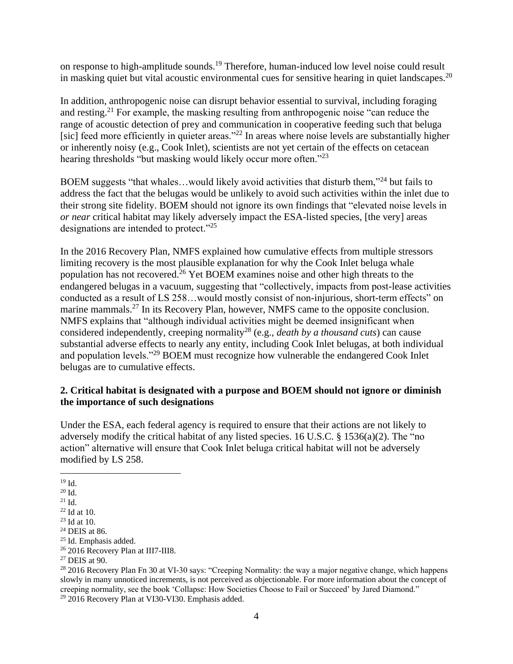on response to high-amplitude sounds.<sup>19</sup> Therefore, human-induced low level noise could result in masking quiet but vital acoustic environmental cues for sensitive hearing in quiet landscapes.<sup>20</sup>

In addition, anthropogenic noise can disrupt behavior essential to survival, including foraging and resting.<sup>21</sup> For example, the masking resulting from anthropogenic noise "can reduce the range of acoustic detection of prey and communication in cooperative feeding such that beluga [sic] feed more efficiently in quieter areas."<sup>22</sup> In areas where noise levels are substantially higher or inherently noisy (e.g., Cook Inlet), scientists are not yet certain of the effects on cetacean hearing thresholds "but masking would likely occur more often."<sup>23</sup>

BOEM suggests "that whales...would likely avoid activities that disturb them,"<sup>24</sup> but fails to address the fact that the belugas would be unlikely to avoid such activities within the inlet due to their strong site fidelity. BOEM should not ignore its own findings that "elevated noise levels in *or near* critical habitat may likely adversely impact the ESA-listed species, [the very] areas designations are intended to protect."<sup>25</sup>

In the 2016 Recovery Plan, NMFS explained how cumulative effects from multiple stressors limiting recovery is the most plausible explanation for why the Cook Inlet beluga whale population has not recovered.<sup>26</sup> Yet BOEM examines noise and other high threats to the endangered belugas in a vacuum, suggesting that "collectively, impacts from post-lease activities conducted as a result of LS 258…would mostly consist of non-injurious, short-term effects" on marine mammals.<sup>27</sup> In its Recovery Plan, however, NMFS came to the opposite conclusion. NMFS explains that "although individual activities might be deemed insignificant when considered independently, creeping normality<sup>28</sup> (e.g., *death by a thousand cuts*) can cause substantial adverse effects to nearly any entity, including Cook Inlet belugas, at both individual and population levels."<sup>29</sup> BOEM must recognize how vulnerable the endangered Cook Inlet belugas are to cumulative effects.

# **2. Critical habitat is designated with a purpose and BOEM should not ignore or diminish the importance of such designations**

Under the ESA, each federal agency is required to ensure that their actions are not likely to adversely modify the critical habitat of any listed species. 16 U.S.C.  $\S$  1536(a)(2). The "no action" alternative will ensure that Cook Inlet beluga critical habitat will not be adversely modified by LS 258.

<sup>28</sup> 2016 Recovery Plan Fn 30 at VI-30 says: "Creeping Normality: the way a major negative change, which happens slowly in many unnoticed increments, is not perceived as objectionable. For more information about the concept of creeping normality, see the book 'Collapse: How Societies Choose to Fail or Succeed' by Jared Diamond." <sup>29</sup> 2016 Recovery Plan at VI30-VI30. Emphasis added.

 $\overline{a}$  $19$  Id.

 $20$  Id.

<sup>21</sup> Id.

<sup>22</sup> Id at 10.

 $23$  Id at 10.

<sup>24</sup> DEIS at 86.

<sup>25</sup> Id. Emphasis added.

<sup>&</sup>lt;sup>26</sup> 2016 Recovery Plan at III7-III8.

<sup>27</sup> DEIS at 90.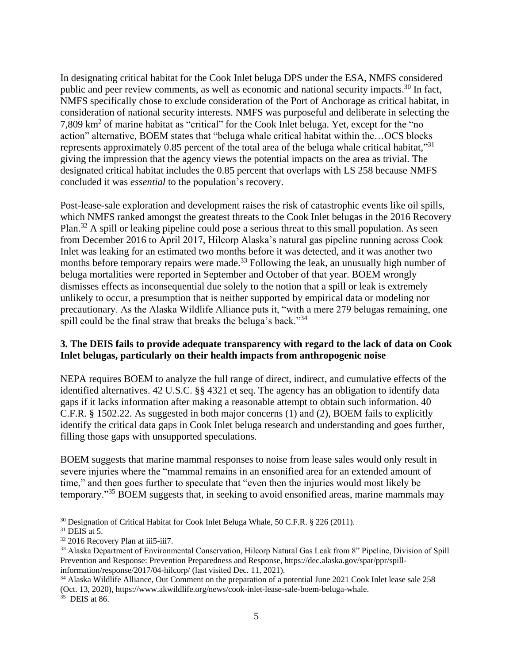In designating critical habitat for the Cook Inlet beluga DPS under the ESA, NMFS considered public and peer review comments, as well as economic and national security impacts.<sup>30</sup> In fact, NMFS specifically chose to exclude consideration of the Port of Anchorage as critical habitat, in consideration of national security interests. NMFS was purposeful and deliberate in selecting the 7,809 km<sup>2</sup> of marine habitat as "critical" for the Cook Inlet beluga. Yet, except for the "no action" alternative, BOEM states that "beluga whale critical habitat within the…OCS blocks represents approximately 0.85 percent of the total area of the beluga whale critical habitat,"<sup>31</sup> giving the impression that the agency views the potential impacts on the area as trivial. The designated critical habitat includes the 0.85 percent that overlaps with LS 258 because NMFS concluded it was *essential* to the population's recovery.

Post-lease-sale exploration and development raises the risk of catastrophic events like oil spills, which NMFS ranked amongst the greatest threats to the Cook Inlet belugas in the 2016 Recovery Plan.<sup>32</sup> A spill or leaking pipeline could pose a serious threat to this small population. As seen from December 2016 to April 2017, Hilcorp Alaska's natural gas pipeline running across Cook Inlet was leaking for an estimated two months before it was detected, and it was another two months before temporary repairs were made.<sup>33</sup> Following the leak, an unusually high number of beluga mortalities were reported in September and October of that year. BOEM wrongly dismisses effects as inconsequential due solely to the notion that a spill or leak is extremely unlikely to occur, a presumption that is neither supported by empirical data or modeling nor precautionary. As the Alaska Wildlife Alliance puts it, "with a mere 279 belugas remaining, one spill could be the final straw that breaks the beluga's back."<sup>34</sup>

#### **3. The DEIS fails to provide adequate transparency with regard to the lack of data on Cook Inlet belugas, particularly on their health impacts from anthropogenic noise**

NEPA requires BOEM to analyze the full range of direct, indirect, and cumulative effects of the identified alternatives. 42 U.S.C. §§ 4321 et seq. The agency has an obligation to identify data gaps if it lacks information after making a reasonable attempt to obtain such information. 40 C.F.R. § 1502.22. As suggested in both major concerns (1) and (2), BOEM fails to explicitly identify the critical data gaps in Cook Inlet beluga research and understanding and goes further, filling those gaps with unsupported speculations.

BOEM suggests that marine mammal responses to noise from lease sales would only result in severe injuries where the "mammal remains in an ensonified area for an extended amount of time," and then goes further to speculate that "even then the injuries would most likely be temporary."<sup>35</sup> BOEM suggests that, in seeking to avoid ensonified areas, marine mammals may

 $\overline{a}$ <sup>30</sup> Designation of Critical Habitat for Cook Inlet Beluga Whale, 50 C.F.R. § 226 (2011).

 $31$  DEIS at 5.

<sup>32</sup> 2016 Recovery Plan at iii5-iii7.

<sup>&</sup>lt;sup>33</sup> Alaska Department of Environmental Conservation, Hilcorp Natural Gas Leak from 8" Pipeline, Division of Spill Prevention and Response: Prevention Preparedness and Response, [https://dec.alaska.gov/spar/ppr/spill](https://dec.alaska.gov/spar/ppr/spill-information/response/2017/04-hilcorp/)[information/response/2017/04-hilcorp/](https://dec.alaska.gov/spar/ppr/spill-information/response/2017/04-hilcorp/) (last visited Dec. 11, 2021).

<sup>&</sup>lt;sup>34</sup> Alaska Wildlife Alliance, Out Comment on the preparation of a potential June 2021 Cook Inlet lease sale 258 (Oct. 13, 2020), https://www.akwildlife.org/news/cook-inlet-lease-sale-boem-beluga-whale. 35 DEIS at 86.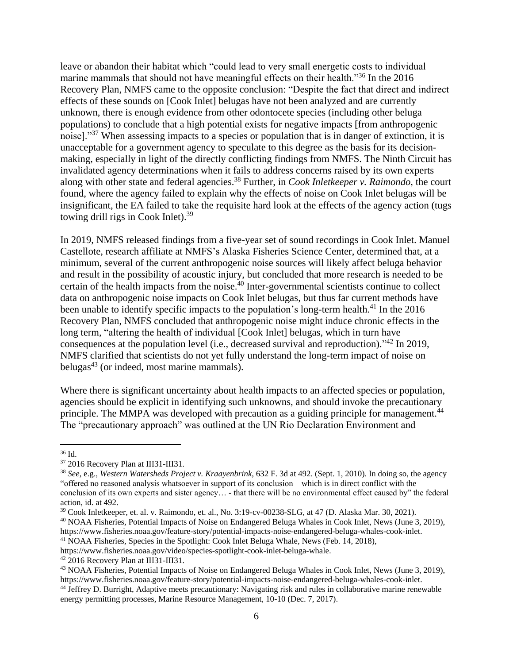leave or abandon their habitat which "could lead to very small energetic costs to individual marine mammals that should not have meaningful effects on their health."<sup>36</sup> In the 2016 Recovery Plan, NMFS came to the opposite conclusion: "Despite the fact that direct and indirect effects of these sounds on [Cook Inlet] belugas have not been analyzed and are currently unknown, there is enough evidence from other odontocete species (including other beluga populations) to conclude that a high potential exists for negative impacts [from anthropogenic noise]."<sup>37</sup> When assessing impacts to a species or population that is in danger of extinction, it is unacceptable for a government agency to speculate to this degree as the basis for its decisionmaking, especially in light of the directly conflicting findings from NMFS. The Ninth Circuit has invalidated agency determinations when it fails to address concerns raised by its own experts along with other state and federal agencies.<sup>38</sup> Further, in *Cook Inletkeeper v. Raimondo*, the court found, where the agency failed to explain why the effects of noise on Cook Inlet belugas will be insignificant, the EA failed to take the requisite hard look at the effects of the agency action (tugs towing drill rigs in Cook Inlet).<sup>39</sup>

In 2019, NMFS released findings from a five-year set of sound recordings in Cook Inlet. Manuel Castellote, research affiliate at NMFS's Alaska Fisheries Science Center, determined that, at a minimum, several of the current anthropogenic noise sources will likely affect beluga behavior and result in the possibility of acoustic injury, but concluded that more research is needed to be certain of the health impacts from the noise.<sup>40</sup> Inter-governmental scientists continue to collect data on anthropogenic noise impacts on Cook Inlet belugas, but thus far current methods have been unable to identify specific impacts to the population's long-term health.<sup>41</sup> In the 2016 Recovery Plan, NMFS concluded that anthropogenic noise might induce chronic effects in the long term, "altering the health of individual [Cook Inlet] belugas, which in turn have consequences at the population level (i.e., decreased survival and reproduction).<sup>342</sup> In 2019, NMFS clarified that scientists do not yet fully understand the long-term impact of noise on belugas $43$  (or indeed, most marine mammals).

Where there is significant uncertainty about health impacts to an affected species or population, agencies should be explicit in identifying such unknowns, and should invoke the precautionary principle. The MMPA was developed with precaution as a guiding principle for management.<sup>44</sup> The "precautionary approach" was outlined at the UN Rio Declaration Environment and

 $\overline{a}$ 

<sup>40</sup> NOAA Fisheries, Potential Impacts of Noise on Endangered Beluga Whales in Cook Inlet, News (June 3, 2019), https://www.fisheries.noaa.gov/feature-story/potential-impacts-noise-endangered-beluga-whales-cook-inlet.

<sup>36</sup> Id.

<sup>37</sup> 2016 Recovery Plan at III31-III31.

<sup>38</sup> *See*, e.g., *Western Watersheds Project v. Kraayenbrink,* 632 F. 3d at 492. (Sept. 1, 2010). In doing so, the agency "offered no reasoned analysis whatsoever in support of its conclusion – which is in direct conflict with the conclusion of its own experts and sister agency… - that there will be no environmental effect caused by" the federal action, id. at 492.

<sup>&</sup>lt;sup>39</sup> Cook Inletkeeper, et. al. v. Raimondo, et. al., No. 3:19-cv-00238-SLG, at 47 (D. Alaska Mar. 30, 2021).

<sup>41</sup> NOAA Fisheries, Species in the Spotlight: Cook Inlet Beluga Whale, News (Feb. 14, 2018),

[https://www.fisheries.noaa.gov/video/species-spotlight-cook-inlet-beluga-whale.](https://www.fisheries.noaa.gov/video/species-spotlight-cook-inlet-beluga-whale)

<sup>42</sup> 2016 Recovery Plan at III31-III31.

<sup>43</sup> NOAA Fisheries, Potential Impacts of Noise on Endangered Beluga Whales in Cook Inlet, News (June 3, 2019), https://www.fisheries.noaa.gov/feature-story/potential-impacts-noise-endangered-beluga-whales-cook-inlet.

<sup>44</sup> Jeffrey D. Burright, Adaptive meets precautionary: Navigating risk and rules in collaborative marine renewable energy permitting processes, Marine Resource Management, 10-10 (Dec. 7, 2017).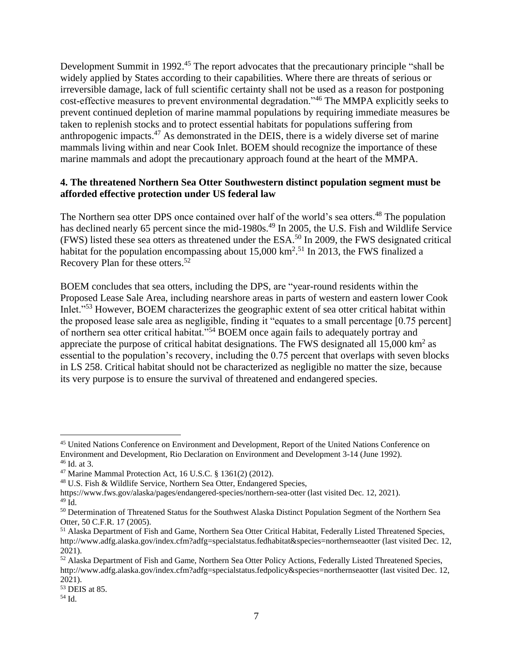Development Summit in 1992<sup>45</sup> The report advocates that the precautionary principle "shall be widely applied by States according to their capabilities. Where there are threats of serious or irreversible damage, lack of full scientific certainty shall not be used as a reason for postponing cost-effective measures to prevent environmental degradation."<sup>46</sup> The MMPA explicitly seeks to prevent continued depletion of marine mammal populations by requiring immediate measures be taken to replenish stocks and to protect essential habitats for populations suffering from anthropogenic impacts.<sup>47</sup> As demonstrated in the DEIS, there is a widely diverse set of marine mammals living within and near Cook Inlet. BOEM should recognize the importance of these marine mammals and adopt the precautionary approach found at the heart of the MMPA.

#### **4. The threatened Northern Sea Otter Southwestern distinct population segment must be afforded effective protection under US federal law**

The Northern sea otter DPS once contained over half of the world's sea otters.<sup>48</sup> The population has declined nearly 65 percent since the mid-1980s.<sup>49</sup> In 2005, the U.S. Fish and Wildlife Service (FWS) listed these sea otters as threatened under the ESA.<sup>50</sup> In 2009, the FWS designated critical habitat for the population encompassing about  $15,000 \text{ km}^2$ .<sup>51</sup> In 2013, the FWS finalized a Recovery Plan for these otters.<sup>52</sup>

BOEM concludes that sea otters, including the DPS, are "year-round residents within the Proposed Lease Sale Area, including nearshore areas in parts of western and eastern lower Cook Inlet."<sup>53</sup> However, BOEM characterizes the geographic extent of sea otter critical habitat within the proposed lease sale area as negligible, finding it "equates to a small percentage [0.75 percent] of northern sea otter critical habitat."<sup>54</sup> BOEM once again fails to adequately portray and appreciate the purpose of critical habitat designations. The FWS designated all  $15,000 \text{ km}^2$  as essential to the population's recovery, including the 0.75 percent that overlaps with seven blocks in LS 258. Critical habitat should not be characterized as negligible no matter the size, because its very purpose is to ensure the survival of threatened and endangered species.

 $\overline{a}$ 

<sup>45</sup> United Nations Conference on Environment and Development, Report of the United Nations Conference on Environment and Development, Rio Declaration on Environment and Development 3-14 (June 1992).  $46$  Id. at 3.

<sup>47</sup> Marine Mammal Protection Act, 16 U.S.C. § 1361(2) (2012).

<sup>48</sup> U.S. Fish & Wildlife Service, Northern Sea Otter, Endangered Species,

<https://www.fws.gov/alaska/pages/endangered-species/northern-sea-otter> (last visited Dec. 12, 2021).

<sup>49</sup> Id.

<sup>&</sup>lt;sup>50</sup> Determination of Threatened Status for the Southwest Alaska Distinct Population Segment of the Northern Sea Otter, 50 C.F.R. 17 (2005).

<sup>&</sup>lt;sup>51</sup> Alaska Department of Fish and Game, Northern Sea Otter Critical Habitat, Federally Listed Threatened Species, <http://www.adfg.alaska.gov/index.cfm?adfg=specialstatus.fedhabitat&species=northernseaotter> (last visited Dec. 12, 2021).

<sup>52</sup> Alaska Department of Fish and Game, Northern Sea Otter Policy Actions, Federally Listed Threatened Species, <http://www.adfg.alaska.gov/index.cfm?adfg=specialstatus.fedpolicy&species=northernseaotter> (last visited Dec. 12, 2021).

<sup>53</sup> DEIS at 85.

<sup>54</sup> Id.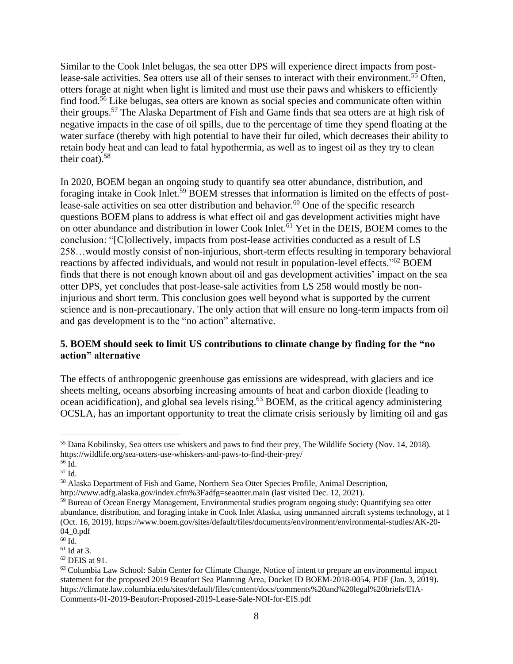Similar to the Cook Inlet belugas, the sea otter DPS will experience direct impacts from postlease-sale activities. Sea otters use all of their senses to interact with their environment.<sup>55</sup> Often, otters forage at night when light is limited and must use their paws and whiskers to efficiently find food.<sup>56</sup> Like belugas, sea otters are known as social species and communicate often within their groups.<sup>57</sup> The Alaska Department of Fish and Game finds that sea otters are at high risk of negative impacts in the case of oil spills, due to the percentage of time they spend floating at the water surface (thereby with high potential to have their fur oiled, which decreases their ability to retain body heat and can lead to fatal hypothermia, as well as to ingest oil as they try to clean their coat). $58$ 

In 2020, BOEM began an ongoing study to quantify sea otter abundance, distribution, and foraging intake in Cook Inlet.<sup>59</sup> BOEM stresses that information is limited on the effects of postlease-sale activities on sea otter distribution and behavior.<sup>60</sup> One of the specific research questions BOEM plans to address is what effect oil and gas development activities might have on otter abundance and distribution in lower Cook Inlet.<sup> $61$ </sup> Yet in the DEIS, BOEM comes to the conclusion: "[C]ollectively, impacts from post-lease activities conducted as a result of LS 258…would mostly consist of non-injurious, short-term effects resulting in temporary behavioral reactions by affected individuals, and would not result in population-level effects."<sup>62</sup> BOEM finds that there is not enough known about oil and gas development activities' impact on the sea otter DPS, yet concludes that post-lease-sale activities from LS 258 would mostly be noninjurious and short term. This conclusion goes well beyond what is supported by the current science and is non-precautionary. The only action that will ensure no long-term impacts from oil and gas development is to the "no action" alternative.

## **5. BOEM should seek to limit US contributions to climate change by finding for the "no action" alternative**

The effects of anthropogenic greenhouse gas emissions are widespread, with glaciers and ice sheets melting, oceans absorbing increasing amounts of heat and carbon dioxide (leading to ocean acidification), and global sea levels rising.<sup>63</sup> BOEM, as the critical agency administering OCSLA, has an important opportunity to treat the climate crisis seriously by limiting oil and gas

 $\overline{a}$ 

<sup>55</sup> Dana Kobilinsky, Sea otters use whiskers and paws to find their prey, The Wildlife Society (Nov. 14, 2018). https://wildlife.org/sea-otters-use-whiskers-and-paws-to-find-their-prey/

 $56 \text{ Id.}$ 

<sup>57</sup> Id.

<sup>58</sup> Alaska Department of Fish and Game, Northern Sea Otter Species Profile, Animal Description, <http://www.adfg.alaska.gov/index.cfm%3Fadfg=seaotter.main> (last visited Dec. 12, 2021).

<sup>59</sup> Bureau of Ocean Energy Management, Environmental studies program ongoing study: Quantifying sea otter abundance, distribution, and foraging intake in Cook Inlet Alaska, using unmanned aircraft systems technology, at 1 (Oct. 16, 2019). [https://www.boem.gov/sites/default/files/documents/environment/environmental-studies/AK-20-](https://www.boem.gov/sites/default/files/documents/environment/environmental-studies/AK-20-04_0.pdf) [04\\_0.pdf](https://www.boem.gov/sites/default/files/documents/environment/environmental-studies/AK-20-04_0.pdf)

<sup>60</sup> Id.

 $61$  Id at 3.

<sup>62</sup> DEIS at 91.

<sup>63</sup> Columbia Law School: Sabin Center for Climate Change, Notice of intent to prepare an environmental impact statement for the proposed 2019 Beaufort Sea Planning Area, Docket ID BOEM-2018-0054, PDF (Jan. 3, 2019). https://climate.law.columbia.edu/sites/default/files/content/docs/comments%20and%20legal%20briefs/EIA-Comments-01-2019-Beaufort-Proposed-2019-Lease-Sale-NOI-for-EIS.pdf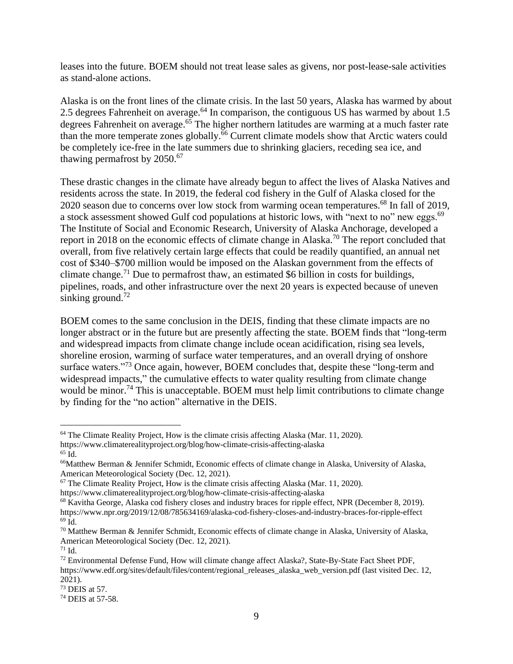leases into the future. BOEM should not treat lease sales as givens, nor post-lease-sale activities as stand-alone actions.

Alaska is on the front lines of the climate crisis. In the last 50 years, Alaska has warmed by about 2.5 degrees Fahrenheit on average.<sup>64</sup> In comparison, the contiguous US has warmed by about 1.5 degrees Fahrenheit on average. <sup>65</sup> The higher northern latitudes are warming at a much faster rate than the more temperate zones globally.<sup>66</sup> Current climate models show that Arctic waters could be completely ice-free in the late summers due to shrinking glaciers, receding sea ice, and thawing permafrost by 2050. 67

These drastic changes in the climate have already begun to affect the lives of Alaska Natives and residents across the state. In 2019, the federal cod fishery in the Gulf of Alaska closed for the 2020 season due to concerns over low stock from warming ocean temperatures.<sup>68</sup> In fall of 2019, a stock assessment showed Gulf cod populations at historic lows, with "next to no" new eggs.<sup>69</sup> The Institute of Social and Economic Research, University of Alaska Anchorage, developed a report in 2018 on the economic effects of climate change in Alaska.<sup>70</sup> The report concluded that overall, from five relatively certain large effects that could be readily quantified, an annual net cost of \$340–\$700 million would be imposed on the Alaskan government from the effects of climate change.<sup>71</sup> Due to permafrost thaw, an estimated \$6 billion in costs for buildings, pipelines, roads, and other infrastructure over the next 20 years is expected because of uneven sinking ground.<sup>72</sup>

BOEM comes to the same conclusion in the DEIS, finding that these climate impacts are no longer abstract or in the future but are presently affecting the state. BOEM finds that "long-term and widespread impacts from climate change include ocean acidification, rising sea levels, shoreline erosion, warming of surface water temperatures, and an overall drying of onshore surface waters."<sup>73</sup> Once again, however, BOEM concludes that, despite these "long-term and widespread impacts," the cumulative effects to water quality resulting from climate change would be minor.<sup>74</sup> This is unacceptable. BOEM must help limit contributions to climate change by finding for the "no action" alternative in the DEIS.

 $\overline{a}$  $64$  The Climate Reality Project, How is the climate crisis affecting Alaska (Mar. 11, 2020).

https://www.climaterealityproject.org/blog/how-climate-crisis-affecting-alaska <sup>65</sup> Id.

<sup>66</sup>Matthew Berman & Jennifer Schmidt, Economic effects of climate change in Alaska, University of Alaska, American Meteorological Society (Dec. 12, 2021).

<sup>&</sup>lt;sup>67</sup> The Climate Reality Project, How is the climate crisis affecting Alaska (Mar. 11, 2020).

https://www.climaterealityproject.org/blog/how-climate-crisis-affecting-alaska

<sup>68</sup> Kavitha George, Alaska cod fishery closes and industry braces for ripple effect, NPR (December 8, 2019). https://www.npr.org/2019/12/08/785634169/alaska-cod-fishery-closes-and-industry-braces-for-ripple-effect  $69 \text{ Id.}$ 

 $70$  Matthew Berman & Jennifer Schmidt, Economic effects of climate change in Alaska, University of Alaska, American Meteorological Society (Dec. 12, 2021).

<sup>71</sup> Id.

<sup>72</sup> Environmental Defense Fund, How will climate change affect Alaska?, State-By-State Fact Sheet PDF, [https://www.edf.org/sites/default/files/content/regional\\_releases\\_alaska\\_web\\_version.pdf](https://www.edf.org/sites/default/files/content/regional_releases_alaska_web_version.pdf) (last visited Dec. 12, 2021).

<sup>73</sup> DEIS at 57.

<sup>74</sup> DEIS at 57-58.